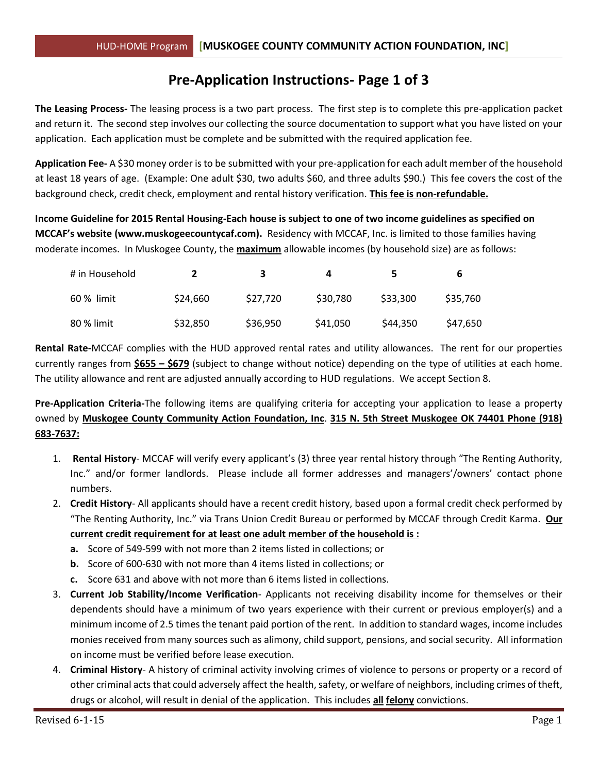# **Pre-Application Instructions- Page 1 of 3**

**The Leasing Process-** The leasing process is a two part process. The first step is to complete this pre-application packet and return it. The second step involves our collecting the source documentation to support what you have listed on your application. Each application must be complete and be submitted with the required application fee.

**Application Fee-** A \$30 money order is to be submitted with your pre-application for each adult member of the household at least 18 years of age. (Example: One adult \$30, two adults \$60, and three adults \$90.) This fee covers the cost of the background check, credit check, employment and rental history verification. **This fee is non-refundable.**

**Income Guideline for 2015 Rental Housing-Each house is subject to one of two income guidelines as specified on MCCAF's website (www.muskogeecountycaf.com).** Residency with MCCAF, Inc. is limited to those families having moderate incomes. In Muskogee County, the **maximum** allowable incomes (by household size) are as follows:

| # in Household |          | з        | 4        |          | b        |
|----------------|----------|----------|----------|----------|----------|
| 60 % limit     | \$24,660 | \$27,720 | \$30,780 | \$33,300 | \$35,760 |
| 80 % limit     | \$32,850 | \$36,950 | \$41,050 | \$44,350 | \$47,650 |

**Rental Rate-**MCCAF complies with the HUD approved rental rates and utility allowances. The rent for our properties currently ranges from **\$655 – \$679** (subject to change without notice) depending on the type of utilities at each home. The utility allowance and rent are adjusted annually according to HUD regulations. We accept Section 8.

**Pre-Application Criteria-**The following items are qualifying criteria for accepting your application to lease a property owned by **Muskogee County Community Action Foundation, Inc**. **315 N. 5th Street Muskogee OK 74401 Phone (918) 683-7637:**

- 1. **Rental History** MCCAF will verify every applicant's (3) three year rental history through "The Renting Authority, Inc." and/or former landlords. Please include all former addresses and managers'/owners' contact phone numbers.
- 2. **Credit History** All applicants should have a recent credit history, based upon a formal credit check performed by "The Renting Authority, Inc." via Trans Union Credit Bureau or performed by MCCAF through Credit Karma. **Our current credit requirement for at least one adult member of the household is :**
	- **a.** Score of 549-599 with not more than 2 items listed in collections; or
	- **b.** Score of 600-630 with not more than 4 items listed in collections; or
	- **c.** Score 631 and above with not more than 6 items listed in collections.
- 3. **Current Job Stability/Income Verification** Applicants not receiving disability income for themselves or their dependents should have a minimum of two years experience with their current or previous employer(s) and a minimum income of 2.5 times the tenant paid portion of the rent. In addition to standard wages, income includes monies received from many sources such as alimony, child support, pensions, and social security. All information on income must be verified before lease execution.
- 4. **Criminal History** A history of criminal activity involving crimes of violence to persons or property or a record of other criminal acts that could adversely affect the health, safety, or welfare of neighbors, including crimes of theft, drugs or alcohol, will result in denial of the application. This includes **all felony** convictions.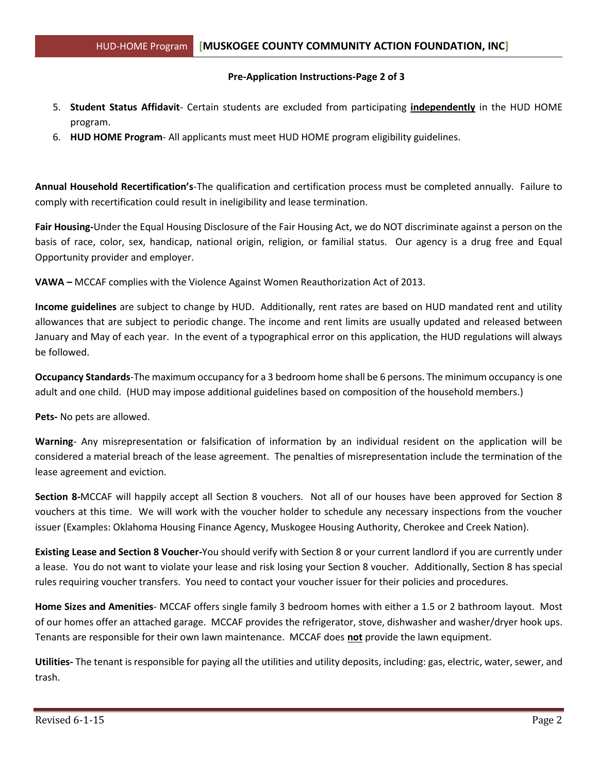#### **Pre-Application Instructions-Page 2 of 3**

- 5. **Student Status Affidavit** Certain students are excluded from participating **independently** in the HUD HOME program.
- 6. **HUD HOME Program** All applicants must meet HUD HOME program eligibility guidelines.

**Annual Household Recertification's**-The qualification and certification process must be completed annually. Failure to comply with recertification could result in ineligibility and lease termination.

**Fair Housing-**Under the Equal Housing Disclosure of the Fair Housing Act, we do NOT discriminate against a person on the basis of race, color, sex, handicap, national origin, religion, or familial status. Our agency is a drug free and Equal Opportunity provider and employer.

**VAWA –** MCCAF complies with the Violence Against Women Reauthorization Act of 2013.

**Income guidelines** are subject to change by HUD. Additionally, rent rates are based on HUD mandated rent and utility allowances that are subject to periodic change. The income and rent limits are usually updated and released between January and May of each year. In the event of a typographical error on this application, the HUD regulations will always be followed.

**Occupancy Standards**-The maximum occupancy for a 3 bedroom home shall be 6 persons. The minimum occupancy is one adult and one child. (HUD may impose additional guidelines based on composition of the household members.)

**Pets-** No pets are allowed.

**Warning**- Any misrepresentation or falsification of information by an individual resident on the application will be considered a material breach of the lease agreement. The penalties of misrepresentation include the termination of the lease agreement and eviction.

**Section 8-**MCCAF will happily accept all Section 8 vouchers. Not all of our houses have been approved for Section 8 vouchers at this time. We will work with the voucher holder to schedule any necessary inspections from the voucher issuer (Examples: Oklahoma Housing Finance Agency, Muskogee Housing Authority, Cherokee and Creek Nation).

**Existing Lease and Section 8 Voucher-**You should verify with Section 8 or your current landlord if you are currently under a lease. You do not want to violate your lease and risk losing your Section 8 voucher. Additionally, Section 8 has special rules requiring voucher transfers. You need to contact your voucher issuer for their policies and procedures.

**Home Sizes and Amenities**- MCCAF offers single family 3 bedroom homes with either a 1.5 or 2 bathroom layout. Most of our homes offer an attached garage. MCCAF provides the refrigerator, stove, dishwasher and washer/dryer hook ups. Tenants are responsible for their own lawn maintenance. MCCAF does **not** provide the lawn equipment.

**Utilities-** The tenant is responsible for paying all the utilities and utility deposits, including: gas, electric, water, sewer, and trash.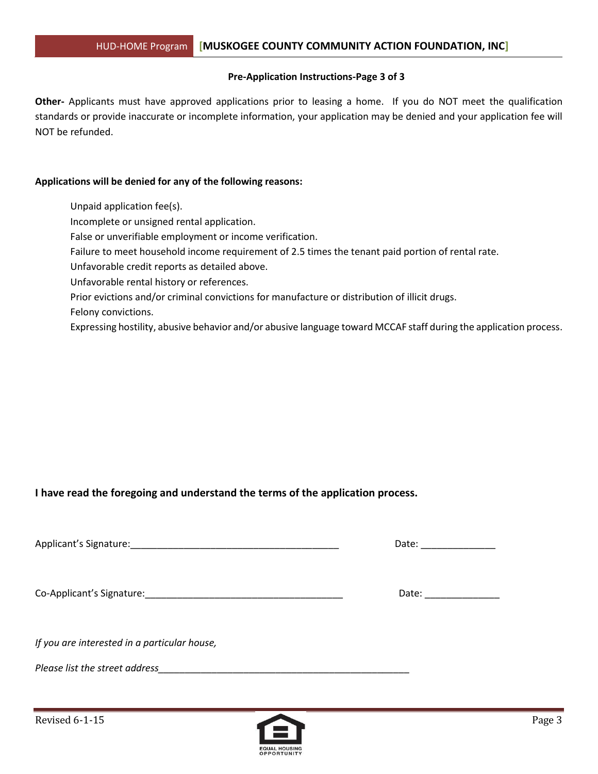#### **Pre-Application Instructions-Page 3 of 3**

**Other-** Applicants must have approved applications prior to leasing a home. If you do NOT meet the qualification standards or provide inaccurate or incomplete information, your application may be denied and your application fee will NOT be refunded.

#### **Applications will be denied for any of the following reasons:**

Unpaid application fee(s).

Incomplete or unsigned rental application.

False or unverifiable employment or income verification.

Failure to meet household income requirement of 2.5 times the tenant paid portion of rental rate.

Unfavorable credit reports as detailed above.

Unfavorable rental history or references.

Prior evictions and/or criminal convictions for manufacture or distribution of illicit drugs.

Felony convictions.

Expressing hostility, abusive behavior and/or abusive language toward MCCAF staff during the application process.

#### **I have read the foregoing and understand the terms of the application process.**

Applicant's Signature: <br>
Applicant's Signature:

Co-Applicant's Signature:\_\_\_\_\_\_\_\_\_\_\_\_\_\_\_\_\_\_\_\_\_\_\_\_\_\_\_\_\_\_\_\_\_\_\_\_\_ Date: \_\_\_\_\_\_\_\_\_\_\_\_\_\_

*If you are interested in a particular house,* 

*Please list the street address* 

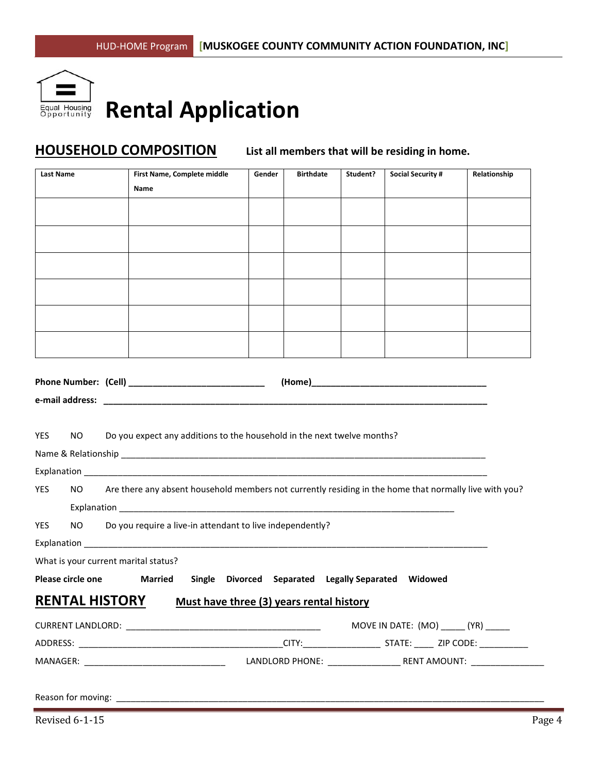

# **Rental Application**

# **HOUSEHOLD COMPOSITION List all members that will be residing in home.**

|                                        |                       | First Name, Complete middle                                                                            | Gender | <b>Birthdate</b> | Student? | <b>Social Security #</b> | Relationship |
|----------------------------------------|-----------------------|--------------------------------------------------------------------------------------------------------|--------|------------------|----------|--------------------------|--------------|
|                                        |                       | Name                                                                                                   |        |                  |          |                          |              |
|                                        |                       |                                                                                                        |        |                  |          |                          |              |
|                                        |                       |                                                                                                        |        |                  |          |                          |              |
|                                        |                       |                                                                                                        |        |                  |          |                          |              |
|                                        |                       |                                                                                                        |        |                  |          |                          |              |
|                                        |                       |                                                                                                        |        |                  |          |                          |              |
|                                        |                       |                                                                                                        |        |                  |          |                          |              |
|                                        |                       |                                                                                                        |        |                  |          |                          |              |
|                                        |                       |                                                                                                        |        |                  |          |                          |              |
|                                        |                       |                                                                                                        |        |                  |          |                          |              |
|                                        |                       |                                                                                                        |        |                  |          |                          |              |
|                                        |                       |                                                                                                        |        |                  |          |                          |              |
|                                        |                       |                                                                                                        |        |                  |          |                          |              |
|                                        |                       |                                                                                                        |        |                  |          |                          |              |
|                                        |                       |                                                                                                        |        |                  |          |                          |              |
| NO.                                    |                       | Do you expect any additions to the household in the next twelve months?                                |        |                  |          |                          |              |
|                                        |                       |                                                                                                        |        |                  |          |                          |              |
|                                        |                       |                                                                                                        |        |                  |          |                          |              |
| NO.                                    |                       | Are there any absent household members not currently residing in the home that normally live with you? |        |                  |          |                          |              |
|                                        |                       |                                                                                                        |        |                  |          |                          |              |
| NO.                                    |                       | Do you require a live-in attendant to live independently?                                              |        |                  |          |                          |              |
|                                        |                       |                                                                                                        |        |                  |          |                          |              |
| <b>YES</b><br><b>YES</b><br><b>YES</b> |                       | What is your current marital status?                                                                   |        |                  |          |                          |              |
| Please circle one                      |                       | Single Divorced Separated Legally Separated<br><b>Married</b>                                          |        |                  |          | Widowed                  |              |
|                                        |                       |                                                                                                        |        |                  |          |                          |              |
|                                        | <b>RENTAL HISTORY</b> | Must have three (3) years rental history                                                               |        |                  |          |                          |              |
|                                        |                       |                                                                                                        |        |                  |          |                          |              |
|                                        |                       |                                                                                                        |        |                  |          |                          |              |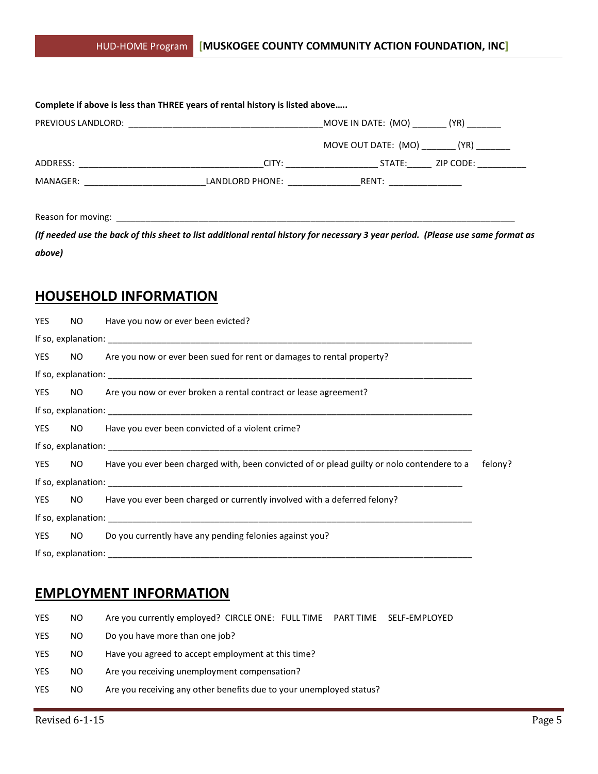|  | MOVE IN DATE: (MO) _________ (YR) _________ |                  |
|--|---------------------------------------------|------------------|
|  | MOVE OUT DATE: (MO) (YR)                    |                  |
|  | CITY: _______________________               | STATE: ZIP CODE: |
|  | LANDLORD PHONE: RENT:                       |                  |

Reason for moving: \_\_\_\_\_\_\_\_\_\_\_\_\_\_\_\_\_\_\_\_\_\_\_\_\_\_\_\_\_\_\_\_\_\_\_\_\_\_\_\_\_\_\_\_\_\_\_\_\_\_\_\_\_\_\_\_\_\_\_\_\_\_\_\_\_\_\_\_\_\_\_\_\_\_\_\_\_\_\_\_\_\_

*(If needed use the back of this sheet to list additional rental history for necessary 3 year period. (Please use same format as above)*

### **HOUSEHOLD INFORMATION**

| <b>YES</b> | NO. | Have you now or ever been evicted?                                                                           |  |
|------------|-----|--------------------------------------------------------------------------------------------------------------|--|
|            |     |                                                                                                              |  |
| YES        |     | NO Are you now or ever been sued for rent or damages to rental property?                                     |  |
|            |     |                                                                                                              |  |
|            |     | YES NO Are you now or ever broken a rental contract or lease agreement?                                      |  |
|            |     |                                                                                                              |  |
| <b>YES</b> |     | NO Have you ever been convicted of a violent crime?                                                          |  |
|            |     |                                                                                                              |  |
|            |     | YES NO Have you ever been charged with, been convicted of or plead guilty or nolo contendere to a<br>felony? |  |
|            |     |                                                                                                              |  |
|            |     | YES NO Have you ever been charged or currently involved with a deferred felony?                              |  |
|            |     |                                                                                                              |  |
| <b>YES</b> |     | NO Do you currently have any pending felonies against you?                                                   |  |
|            |     |                                                                                                              |  |

## **EMPLOYMENT INFORMATION**

| <b>YES</b> | NO. | Are you currently employed? CIRCLE ONE: FULL TIME    PART TIME    SELF-EMPLOYED |
|------------|-----|---------------------------------------------------------------------------------|
| <b>YES</b> | NO. | Do you have more than one job?                                                  |
| <b>YES</b> | NO. | Have you agreed to accept employment at this time?                              |
| <b>YES</b> | NO. | Are you receiving unemployment compensation?                                    |
| <b>YES</b> | NO. | Are you receiving any other benefits due to your unemployed status?             |
|            |     |                                                                                 |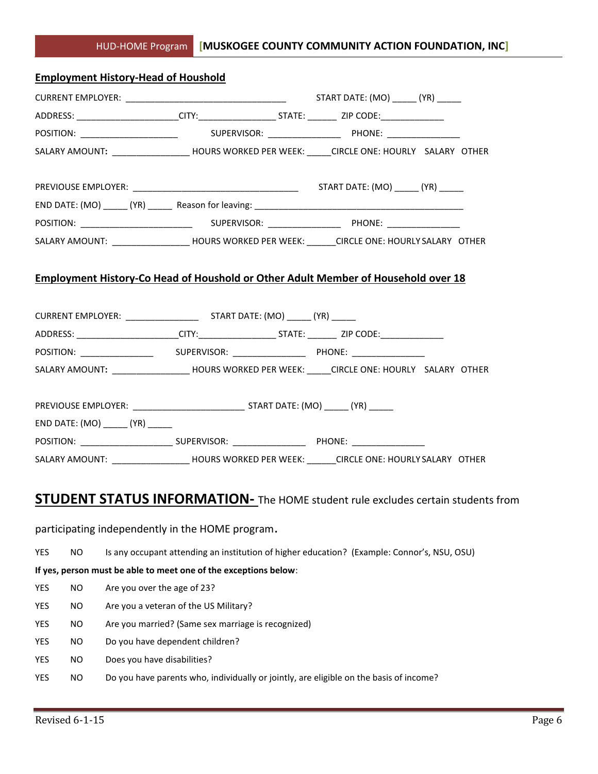|                  | <b>Employment History-Head of Houshold</b> |                                                                  |                                                                                                      |  |
|------------------|--------------------------------------------|------------------------------------------------------------------|------------------------------------------------------------------------------------------------------|--|
|                  |                                            |                                                                  |                                                                                                      |  |
|                  |                                            |                                                                  | ADDRESS: _______________________CITY:_____________________STATE: ___________ ZIP CODE:______________ |  |
|                  |                                            |                                                                  |                                                                                                      |  |
|                  |                                            |                                                                  | SALARY AMOUNT: ________________________HOURS WORKED PER WEEK: ______CIRCLE ONE: HOURLY SALARY OTHER  |  |
|                  |                                            |                                                                  |                                                                                                      |  |
|                  |                                            |                                                                  |                                                                                                      |  |
|                  |                                            |                                                                  |                                                                                                      |  |
|                  |                                            |                                                                  |                                                                                                      |  |
|                  |                                            |                                                                  | SALARY AMOUNT: ______________________HOURS WORKED PER WEEK: _______CIRCLE ONE: HOURLY SALARY OTHER   |  |
|                  |                                            |                                                                  |                                                                                                      |  |
|                  |                                            |                                                                  | <b>Employment History-Co Head of Houshold or Other Adult Member of Household over 18</b>             |  |
|                  |                                            |                                                                  |                                                                                                      |  |
|                  |                                            |                                                                  |                                                                                                      |  |
|                  |                                            |                                                                  | ADDRESS: _______________________CITY:_____________________STATE: __________ ZIP CODE:______________  |  |
|                  |                                            |                                                                  |                                                                                                      |  |
|                  |                                            |                                                                  | SALARY AMOUNT: ___________________HOURS WORKED PER WEEK: _____CIRCLE ONE: HOURLY SALARY OTHER        |  |
|                  |                                            |                                                                  |                                                                                                      |  |
|                  |                                            |                                                                  |                                                                                                      |  |
|                  |                                            |                                                                  |                                                                                                      |  |
|                  |                                            |                                                                  |                                                                                                      |  |
|                  |                                            |                                                                  | SALARY AMOUNT: ___________________HOURS WORKED PER WEEK: _______CIRCLE ONE: HOURLY SALARY OTHER      |  |
|                  |                                            |                                                                  |                                                                                                      |  |
|                  |                                            |                                                                  | <b>STUDENT STATUS INFORMATION-</b> The HOME student rule excludes certain students from              |  |
|                  |                                            |                                                                  |                                                                                                      |  |
|                  |                                            | participating independently in the HOME program.                 |                                                                                                      |  |
| YES<br><b>NO</b> |                                            |                                                                  | Is any occupant attending an institution of higher education? (Example: Connor's, NSU, OSU)          |  |
|                  |                                            | If yes, person must be able to meet one of the exceptions below: |                                                                                                      |  |
| YES<br><b>NO</b> | Are you over the age of 23?                |                                                                  |                                                                                                      |  |
| YES<br>NO.       |                                            | Are you a veteran of the US Military?                            |                                                                                                      |  |
| YES<br><b>NO</b> |                                            | Are you married? (Same sex marriage is recognized)               |                                                                                                      |  |
| YES<br>NO.       |                                            | Do you have dependent children?                                  |                                                                                                      |  |
| YES<br><b>NO</b> | Does you have disabilities?                |                                                                  |                                                                                                      |  |
| <b>NO</b><br>YES |                                            |                                                                  | Do you have parents who, individually or jointly, are eligible on the basis of income?               |  |
|                  |                                            |                                                                  |                                                                                                      |  |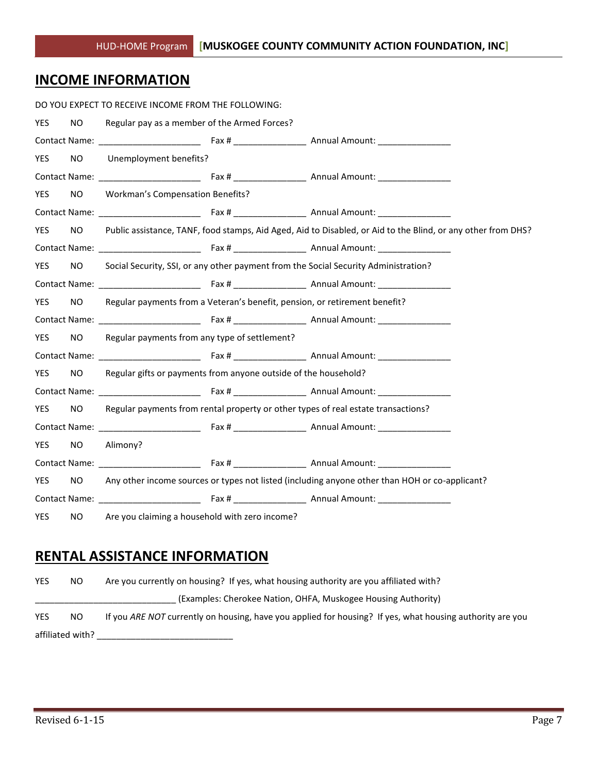# **INCOME INFORMATION**

|            |           | DO YOU EXPECT TO RECEIVE INCOME FROM THE FOLLOWING:                        |                                                                                                              |
|------------|-----------|----------------------------------------------------------------------------|--------------------------------------------------------------------------------------------------------------|
| <b>YES</b> | NO.       | Regular pay as a member of the Armed Forces?                               |                                                                                                              |
|            |           |                                                                            |                                                                                                              |
| YES        | NO.       | Unemployment benefits?                                                     |                                                                                                              |
|            |           |                                                                            |                                                                                                              |
| <b>YES</b> | NO        | <b>Workman's Compensation Benefits?</b>                                    |                                                                                                              |
|            |           |                                                                            |                                                                                                              |
| <b>YES</b> | NO.       |                                                                            | Public assistance, TANF, food stamps, Aid Aged, Aid to Disabled, or Aid to the Blind, or any other from DHS? |
|            |           |                                                                            |                                                                                                              |
| <b>YES</b> | NO.       |                                                                            | Social Security, SSI, or any other payment from the Social Security Administration?                          |
|            |           |                                                                            |                                                                                                              |
| <b>YES</b> | NO.       | Regular payments from a Veteran's benefit, pension, or retirement benefit? |                                                                                                              |
|            |           |                                                                            |                                                                                                              |
| <b>YES</b> | NO.       | Regular payments from any type of settlement?                              |                                                                                                              |
|            |           |                                                                            |                                                                                                              |
| YES        | NO.       | Regular gifts or payments from anyone outside of the household?            |                                                                                                              |
|            |           |                                                                            |                                                                                                              |
| <b>YES</b> | NO.       |                                                                            | Regular payments from rental property or other types of real estate transactions?                            |
|            |           |                                                                            |                                                                                                              |
| YES        | <b>NO</b> | Alimony?                                                                   |                                                                                                              |
|            |           |                                                                            |                                                                                                              |
| <b>YES</b> | NO.       |                                                                            | Any other income sources or types not listed (including anyone other than HOH or co-applicant?               |
|            |           |                                                                            |                                                                                                              |
| <b>YES</b> |           | NO Are you claiming a household with zero income?                          |                                                                                                              |

# **RENTAL ASSISTANCE INFORMATION**

| <b>YES</b> | NO.              | Are you currently on housing? If yes, what housing authority are you affiliated with?                     |
|------------|------------------|-----------------------------------------------------------------------------------------------------------|
|            |                  | (Examples: Cherokee Nation, OHFA, Muskogee Housing Authority)                                             |
| <b>YES</b> | NO.              | If you ARE NOT currently on housing, have you applied for housing? If yes, what housing authority are you |
|            | affiliated with? |                                                                                                           |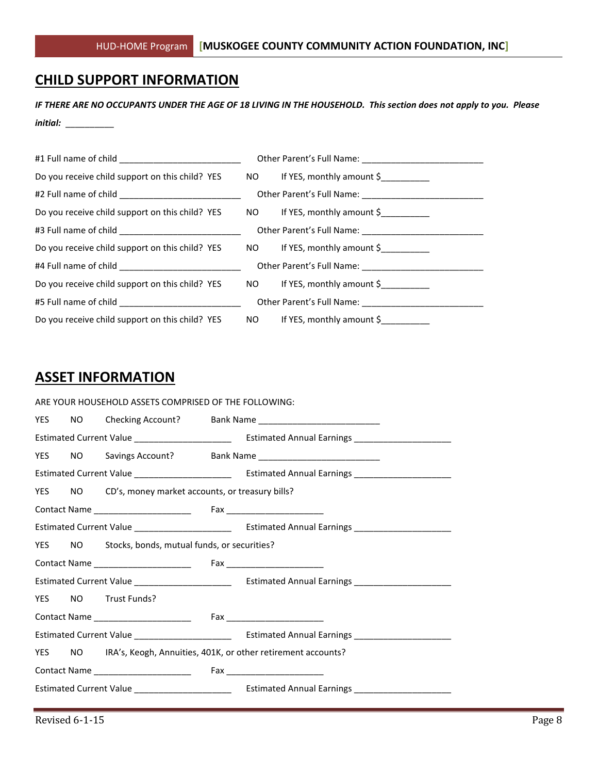### **CHILD SUPPORT INFORMATION**

*IF THERE ARE NO OCCUPANTS UNDER THE AGE OF 18 LIVING IN THE HOUSEHOLD. This section does not apply to you. Please initial:* \_\_\_\_\_\_\_\_\_\_

| Do you receive child support on this child? YES NO If YES, monthly amount \$ |                              |
|------------------------------------------------------------------------------|------------------------------|
|                                                                              |                              |
| Do you receive child support on this child? YES NO If YES, monthly amount \$ |                              |
|                                                                              |                              |
| Do you receive child support on this child? YES NO If YES, monthly amount \$ |                              |
|                                                                              |                              |
| Do you receive child support on this child? YES NO If YES, monthly amount \$ |                              |
|                                                                              |                              |
| Do you receive child support on this child? YES                              | NO If YES, monthly amount \$ |

### **ASSET INFORMATION**

|  | ARE YOUR HOUSEHOLD ASSETS COMPRISED OF THE FOLLOWING:  |                                                                     |
|--|--------------------------------------------------------|---------------------------------------------------------------------|
|  |                                                        |                                                                     |
|  |                                                        |                                                                     |
|  |                                                        |                                                                     |
|  |                                                        |                                                                     |
|  | YES NO CD's, money market accounts, or treasury bills? |                                                                     |
|  |                                                        |                                                                     |
|  |                                                        |                                                                     |
|  | YES NO Stocks, bonds, mutual funds, or securities?     |                                                                     |
|  |                                                        |                                                                     |
|  |                                                        |                                                                     |
|  | YES NO Trust Funds?                                    |                                                                     |
|  |                                                        |                                                                     |
|  |                                                        |                                                                     |
|  |                                                        | YES NO IRA's, Keogh, Annuities, 401K, or other retirement accounts? |
|  |                                                        |                                                                     |
|  |                                                        |                                                                     |
|  |                                                        |                                                                     |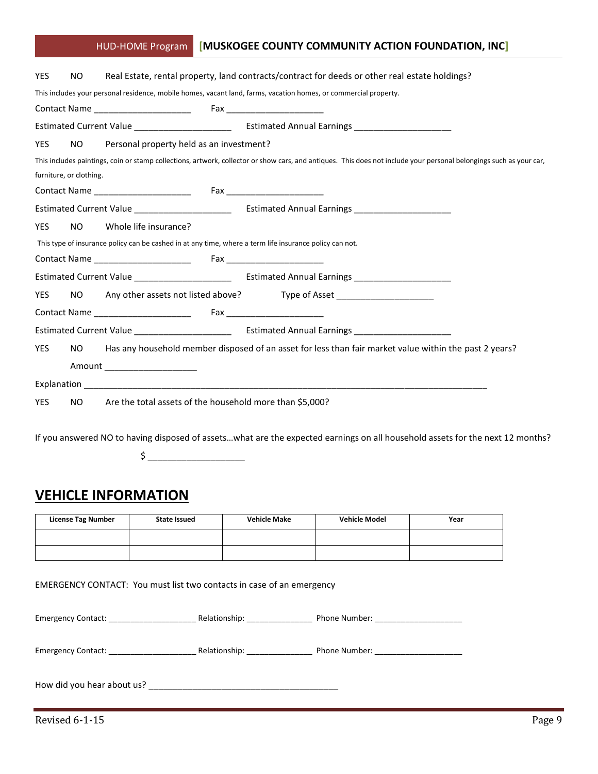### HUD-HOME Program **[MUSKOGEE COUNTY COMMUNITY ACTION FOUNDATION, INC]**

| <b>YES</b> | NO.                     |                                                                                                         | Real Estate, rental property, land contracts/contract for deeds or other real estate holdings?                                                                      |
|------------|-------------------------|---------------------------------------------------------------------------------------------------------|---------------------------------------------------------------------------------------------------------------------------------------------------------------------|
|            |                         |                                                                                                         | This includes your personal residence, mobile homes, vacant land, farms, vacation homes, or commercial property.                                                    |
|            |                         |                                                                                                         |                                                                                                                                                                     |
|            |                         |                                                                                                         |                                                                                                                                                                     |
| <b>YES</b> | NO.                     | Personal property held as an investment?                                                                |                                                                                                                                                                     |
|            | furniture, or clothing. |                                                                                                         | This includes paintings, coin or stamp collections, artwork, collector or show cars, and antiques. This does not include your personal belongings such as your car, |
|            |                         |                                                                                                         |                                                                                                                                                                     |
|            |                         |                                                                                                         |                                                                                                                                                                     |
| <b>YES</b> | NO.                     | Whole life insurance?                                                                                   |                                                                                                                                                                     |
|            |                         | This type of insurance policy can be cashed in at any time, where a term life insurance policy can not. |                                                                                                                                                                     |
|            |                         |                                                                                                         |                                                                                                                                                                     |
|            |                         |                                                                                                         |                                                                                                                                                                     |
| <b>YES</b> | NO.                     |                                                                                                         | Any other assets not listed above? Type of Asset ______________________                                                                                             |
|            |                         |                                                                                                         |                                                                                                                                                                     |
|            |                         |                                                                                                         |                                                                                                                                                                     |
| <b>YES</b> |                         |                                                                                                         | NO Has any household member disposed of an asset for less than fair market value within the past 2 years?                                                           |
|            |                         | Amount ____________________                                                                             |                                                                                                                                                                     |
|            |                         |                                                                                                         |                                                                                                                                                                     |
| <b>YES</b> | NO.                     | Are the total assets of the household more than \$5,000?                                                |                                                                                                                                                                     |

If you answered NO to having disposed of assets…what are the expected earnings on all household assets for the next 12 months?

 $\circ$ 

# **VEHICLE INFORMATION**

| <b>License Tag Number</b> | <b>State Issued</b> | <b>Vehicle Make</b> | <b>Vehicle Model</b> | Year |
|---------------------------|---------------------|---------------------|----------------------|------|
|                           |                     |                     |                      |      |
|                           |                     |                     |                      |      |

EMERGENCY CONTACT: You must list two contacts in case of an emergency

| <b>Emergency Contact:</b>  | Relationship: Note that    | Phone Number: _______________________ |
|----------------------------|----------------------------|---------------------------------------|
| <b>Emergency Contact:</b>  | Relationship: ____________ | Phone Number:                         |
| How did you hear about us? |                            |                                       |